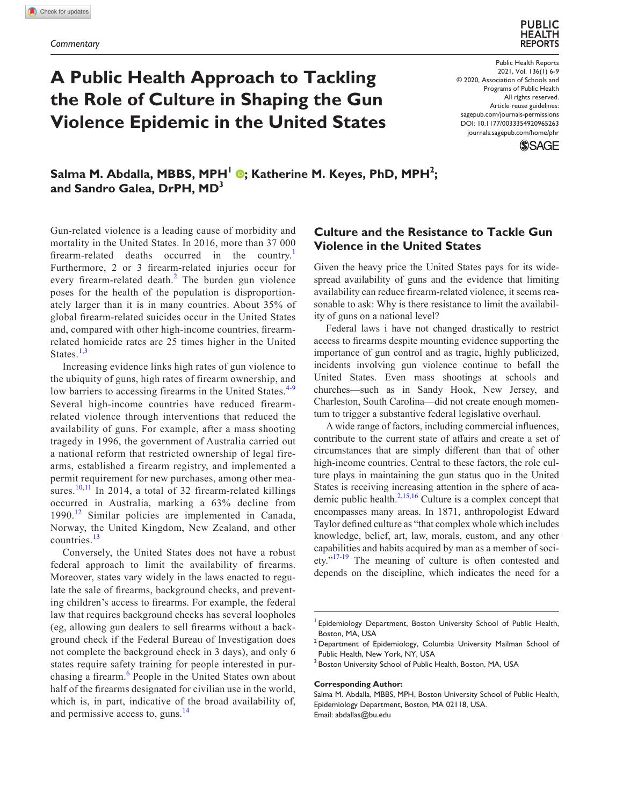

# **A Public Health Approach to Tackling the Role of Culture in Shaping the Gun Violence Epidemic in the United States**

Public Health Reports 2021, Vol. 136(1) 6-9 © 2020, Association of Schools and Programs of Public Health All rights reserved. Article reuse guidelines: sagepub.com/journals-permissions DOI: 10.1177/0033354920965263 [journals.sagepub.com/home/phr](https://journals.sagepub.com/home/phr)

**SSAGE** 

**Salma M. Abdalla, MBBS, MPH1 ; Katherine M. Keyes, PhD, MPH2 ; and Sandro Galea, DrPH, MD<sup>3</sup>**

Gun-related violence is a leading cause of morbidity and mortality in the United States. In 2016, more than 37 000 firearm-related deaths occurred in the country.<sup>[1](#page-2-0)</sup> Furthermore, 2 or 3 firearm-related injuries occur for every firearm-related death. $^{2}$  $^{2}$  $^{2}$  The burden gun violence poses for the health of the population is disproportionately larger than it is in many countries. About 35% of global firearm-related suicides occur in the United States and, compared with other high-income countries, firearm related homicide rates are 25 times higher in the United States.<sup>[1,3](#page-2-0)</sup>

Increasing evidence links high rates of gun violence to the ubiquity of guns, high rates of firearm ownership, and low barriers to accessing firearms in the United States.<sup>[4-9](#page-2-2)</sup> Several high-income countries have reduced firearmrelated violence through interventions that reduced the availability of guns. For example, after a mass shooting tragedy in 1996, the government of Australia carried out a national reform that restricted ownership of legal firearms, established a firearm registry, and implemented a permit requirement for new purchases, among other mea-sures.<sup>[10,11](#page-2-3)</sup> In 2014, a total of 32 firearm-related killings occurred in Australia, marking a 63% decline from  $1990<sup>12</sup>$  $1990<sup>12</sup>$  $1990<sup>12</sup>$  Similar policies are implemented in Canada, Norway, the United Kingdom, New Zealand, and other countries.[13](#page-2-5)

Conversely, the United States does not have a robust federal approach to limit the availability of firearms. Moreover, states vary widely in the laws enacted to regulate the sale of firearms, background checks, and preventing children's access to firearms. For example, the federal law that requires background checks has several loopholes (eg, allowing gun dealers to sell firearms without a background check if the Federal Bureau of Investigation does not complete the background check in 3 days), and only 6 states require safety training for people interested in pur-chasing a firearm.<sup>[6](#page-2-6)</sup> People in the United States own about half of the firearms designated for civilian use in the world, which is, in part, indicative of the broad availability of, and permissive access to, guns.<sup>[14](#page-2-7)</sup>

## **Culture and the Resistance to Tackle Gun Violence in the United States**

Given the heavy price the United States pays for its widespread availability of guns and the evidence that limiting availability can reduce firearm-related violence, it seems reasonable to ask: Why is there resistance to limit the availability of guns on a national level?

Federal laws i have not changed drastically to restrict access to firearms despite mounting evidence supporting the importance of gun control and as tragic, highly publicized, incidents involving gun violence continue to befall the United States. Even mass shootings at schools and churches—such as in Sandy Hook, New Jersey, and Charleston, South Carolina—did not create enough momentum to trigger a substantive federal legislative overhaul.

A wide range of factors, including commercial influences, contribute to the current state of affairs and create a set of circumstances that are simply different than that of other high-income countries. Central to these factors, the role culture plays in maintaining the gun status quo in the United States is receiving increasing attention in the sphere of academic public health.[2,15,16](#page-2-1) Culture is a complex concept that encompasses many areas. In 1871, anthropologist Edward Taylor defined culture as "that complex whole which includes knowledge, belief, art, law, morals, custom, and any other capabilities and habits acquired by man as a member of society."<sup>17-19</sup> The meaning of culture is often contested and depends on the discipline, which indicates the need for a

<sup>3</sup> Boston University School of Public Health, Boston, MA, USA

#### **Corresponding Author:**

Salma M. Abdalla, MBBS, MPH, Boston University School of Public Health, Epidemiology Department, Boston, MA 02118, USA. Email: [abdallas@bu.edu](mailto:abdallas@bu.edu)

<sup>&</sup>lt;sup>1</sup> Epidemiology Department, Boston University School of Public Health, Boston, MA, USA

<sup>2</sup> Department of Epidemiology, Columbia University Mailman School of Public Health, New York, NY, USA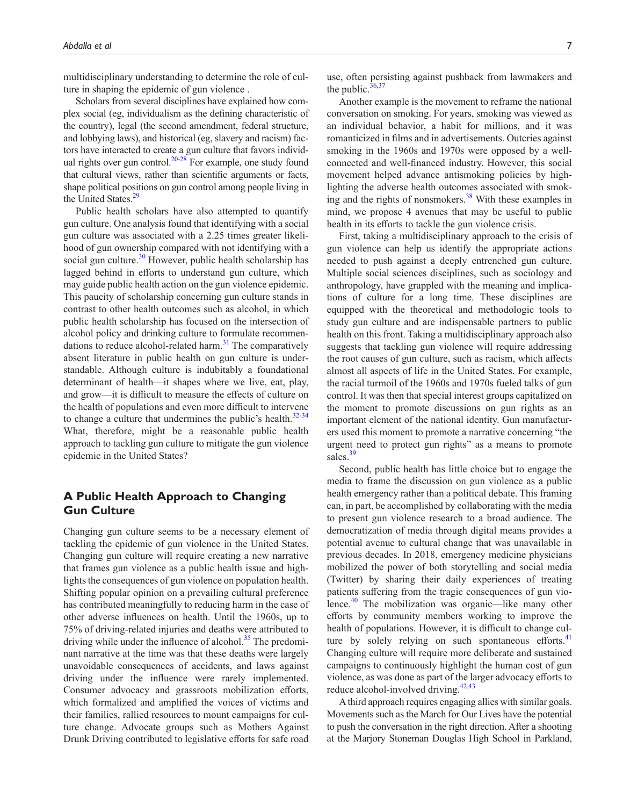multidisciplinary understanding to determine the role of culture in shaping the epidemic of gun violence .

Scholars from several disciplines have explained how complex social (eg, individualism as the defining characteristic of the country), legal (the second amendment, federal structure, and lobbying laws), and historical (eg, slavery and racism) factors have interacted to create a gun culture that favors individual rights over gun control. $20-28$  For example, one study found that cultural views, rather than scientific arguments or facts, shape political positions on gun control among people living in the United States.<sup>29</sup>

Public health scholars have also attempted to quantify gun culture. One analysis found that identifying with a social gun culture was associated with a 2.25 times greater likelihood of gun ownership compared with not identifying with a social gun culture.<sup>30</sup> However, public health scholarship has lagged behind in efforts to understand gun culture, which may guide public health action on the gun violence epidemic. This paucity of scholarship concerning gun culture stands in contrast to other health outcomes such as alcohol, in which public health scholarship has focused on the intersection of alcohol policy and drinking culture to formulate recommendations to reduce alcohol-related harm. $31$  The comparatively absent literature in public health on gun culture is understandable. Although culture is indubitably a foundational determinant of health—it shapes where we live, eat, play, and grow—it is difficult to measure the effects of culture on the health of populations and even more difficult to intervene to change a culture that undermines the public's health. $32-34$ What, therefore, might be a reasonable public health approach to tackling gun culture to mitigate the gun violence epidemic in the United States?

## **A Public Health Approach to Changing Gun Culture**

Changing gun culture seems to be a necessary element of tackling the epidemic of gun violence in the United States. Changing gun culture will require creating a new narrative that frames gun violence as a public health issue and highlights the consequences of gun violence on population health. Shifting popular opinion on a prevailing cultural preference has contributed meaningfully to reducing harm in the case of other adverse influences on health. Until the 1960s, up to 75% of driving-related injuries and deaths were attributed to driving while under the influence of alcohol.<sup>35</sup> The predominant narrative at the time was that these deaths were largely unavoidable consequences of accidents, and laws against driving under the influence were rarely implemented. Consumer advocacy and grassroots mobilization efforts, which formalized and amplified the voices of victims and their families, rallied resources to mount campaigns for culture change. Advocate groups such as Mothers Against Drunk Driving contributed to legislative efforts for safe road

use, often persisting against pushback from lawmakers and the public. $36,37$ 

Another example is the movement to reframe the national conversation on smoking. For years, smoking was viewed as an individual behavior, a habit for millions, and it was romanticized in films and in advertisements. Outcries against smoking in the 1960s and 1970s were opposed by a wellconnected and well-financed industry. However, this social movement helped advance antismoking policies by highlighting the adverse health outcomes associated with smoking and the rights of nonsmokers. $38$  With these examples in mind, we propose 4 avenues that may be useful to public health in its efforts to tackle the gun violence crisis.

First, taking a multidisciplinary approach to the crisis of gun violence can help us identify the appropriate actions needed to push against a deeply entrenched gun culture. Multiple social sciences disciplines, such as sociology and anthropology, have grappled with the meaning and implications of culture for a long time. These disciplines are equipped with the theoretical and methodologic tools to study gun culture and are indispensable partners to public health on this front. Taking a multidisciplinary approach also suggests that tackling gun violence will require addressing the root causes of gun culture, such as racism, which affects almost all aspects of life in the United States. For example, the racial turmoil of the 1960s and 1970s fueled talks of gun control. It was then that special interest groups capitalized on the moment to promote discussions on gun rights as an important element of the national identity. Gun manufacturers used this moment to promote a narrative concerning "the urgent need to protect gun rights" as a means to promote sales.<sup>39</sup>

Second, public health has little choice but to engage the media to frame the discussion on gun violence as a public health emergency rather than a political debate. This framing can, in part, be accomplished by collaborating with the media to present gun violence research to a broad audience. The democratization of media through digital means provides a potential avenue to cultural change that was unavailable in previous decades. In 2018, emergency medicine physicians mobilized the power of both storytelling and social media (Twitter) by sharing their daily experiences of treating patients suffering from the tragic consequences of gun violence. $40$  The mobilization was organic—like many other efforts by community members working to improve the health of populations. However, it is difficult to change culture by solely relying on such spontaneous efforts. $41$ Changing culture will require more deliberate and sustained campaigns to continuously highlight the human cost of gun violence, as was done as part of the larger advocacy efforts to reduce alcohol-involved driving.<sup>42,43</sup>

A third approach requires engaging allies with similar goals. Movements such as the March for Our Lives have the potential to push the conversation in the right direction. After a shooting at the Marjory Stoneman Douglas High School in Parkland,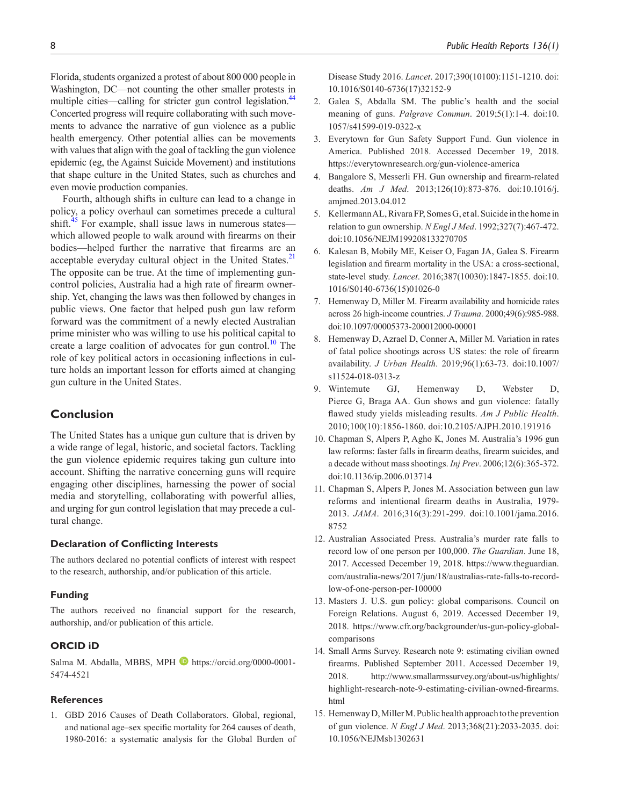Florida, students organized a protest of about 800 000 people in Washington, DC—not counting the other smaller protests in multiple cities—calling for stricter gun control legislation.<sup>44</sup> Concerted progress will require collaborating with such movements to advance the narrative of gun violence as a public health emergency. Other potential allies can be movements with values that align with the goal of tackling the gun violence epidemic (eg, the Against Suicide Movement) and institutions that shape culture in the United States, such as churches and even movie production companies.

Fourth, although shifts in culture can lead to a change in policy, a policy overhaul can sometimes precede a cultural  $\text{shift}^{45}$  For example, shall issue laws in numerous stateswhich allowed people to walk around with firearms on their bodies—helped further the narrative that firearms are an acceptable everyday cultural object in the United States.<sup>[21](#page-3-15)</sup> The opposite can be true. At the time of implementing guncontrol policies, Australia had a high rate of firearm ownership. Yet, changing the laws was then followed by changes in public views. One factor that helped push gun law reform forward was the commitment of a newly elected Australian prime minister who was willing to use his political capital to create a large coalition of advocates for gun control.<sup>10</sup> The role of key political actors in occasioning inflections in culture holds an important lesson for efforts aimed at changing gun culture in the United States.

## **Conclusion**

The United States has a unique gun culture that is driven by a wide range of legal, historic, and societal factors. Tackling the gun violence epidemic requires taking gun culture into account. Shifting the narrative concerning guns will require engaging other disciplines, harnessing the power of social media and storytelling, collaborating with powerful allies, and urging for gun control legislation that may precede a cultural change.

#### **Declaration of Conflicting Interests**

The authors declared no potential conflicts of interest with respect to the research, authorship, and/or publication of this article.

#### **Funding**

The authors received no financial support for the research, authorship, and/or publication of this article.

## **ORCID iD**

Salma M. Abdalla, MBBS, MPH [https://orcid.org/0000-0001-](https://orcid.org/0000-0001-5474-4521) [5474-4521](https://orcid.org/0000-0001-5474-4521)

## **References**

<span id="page-2-0"></span>1. GBD 2016 Causes of Death Collaborators. Global, regional, and national age–sex specific mortality for 264 causes of death, 1980-2016: a systematic analysis for the Global Burden of Disease Study 2016. *Lancet*. 2017;390(10100):1151-1210. doi: 10.1016/S0140-6736(17)32152-9

- <span id="page-2-1"></span>2. Galea S, Abdalla SM. The public's health and the social meaning of guns. *Palgrave Commun*. 2019;5(1):1-4. doi:10. 1057/s41599-019-0322-x
- 3. Everytown for Gun Safety Support Fund. Gun violence in America. Published 2018. Accessed December 19, 2018. <https://everytownresearch.org/gun-violence-america>
- <span id="page-2-2"></span>4. Bangalore S, Messerli FH. Gun ownership and firearm-related deaths. *Am J Med*. 2013;126(10):873-876. doi:10.1016/j. amjmed.2013.04.012
- 5. Kellermann AL, Rivara FP, Somes G, et al. Suicide in the home in relation to gun ownership. *N Engl J Med*. 1992;327(7):467-472. doi:10.1056/NEJM199208133270705
- <span id="page-2-6"></span>6. Kalesan B, Mobily ME, Keiser O, Fagan JA, Galea S. Firearm legislation and firearm mortality in the USA: a cross-sectional, state-level study. *Lancet*. 2016;387(10030):1847-1855. doi:10. 1016/S0140-6736(15)01026-0
- 7. Hemenway D, Miller M. Firearm availability and homicide rates across 26 high-income countries. *J Trauma*. 2000;49(6):985-988. doi:10.1097/00005373-200012000-00001
- 8. Hemenway D, Azrael D, Conner A, Miller M. Variation in rates of fatal police shootings across US states: the role of firearm availability. *J Urban Health*. 2019;96(1):63-73. doi:10.1007/ s11524-018-0313-z
- 9. Wintemute GJ, Hemenway D, Webster D, Pierce G, Braga AA. Gun shows and gun violence: fatally flawed study yields misleading results. *Am J Public Health*. 2010;100(10):1856-1860. doi:10.2105/AJPH.2010.191916
- <span id="page-2-3"></span>10. Chapman S, Alpers P, Agho K, Jones M. Australia's 1996 gun law reforms: faster falls in firearm deaths, firearm suicides, and a decade without mass shootings. *Inj Prev*. 2006;12(6):365-372. doi:10.1136/ip.2006.013714
- 11. Chapman S, Alpers P, Jones M. Association between gun law reforms and intentional firearm deaths in Australia, 1979- 2013. *JAMA*. 2016;316(3):291-299. doi:10.1001/jama.2016. 8752
- <span id="page-2-4"></span>12. Australian Associated Press. Australia's murder rate falls to record low of one person per 100,000. *The Guardian*. June 18, 2017. Accessed December 19, 2018. [https://www.theguardian.](https://www.theguardian.com/australia-news/2017/jun/18/australias-rate-falls-to-record-low-of-one-person-per-100000) [com/australia-news/2017/jun/18/australias-rate-falls-to-record](https://www.theguardian.com/australia-news/2017/jun/18/australias-rate-falls-to-record-low-of-one-person-per-100000)[low-of-one-person-per-100000](https://www.theguardian.com/australia-news/2017/jun/18/australias-rate-falls-to-record-low-of-one-person-per-100000)
- <span id="page-2-5"></span>13. Masters J. U.S. gun policy: global comparisons. Council on Foreign Relations. August 6, 2019. Accessed December 19, 2018. [https://www.cfr.org/backgrounder/us-gun-policy-global](https://www.cfr.org/backgrounder/us-gun-policy-global-comparisons)[comparisons](https://www.cfr.org/backgrounder/us-gun-policy-global-comparisons)
- <span id="page-2-7"></span>14. Small Arms Survey. Research note 9: estimating civilian owned firearms. Published September 2011. Accessed December 19, 2018. [http://www.smallarmssurvey.org/about-us/highlights/](http://www.smallarmssurvey.org/about-us/highlights/highlight-research-note-9-estimating-civilian-owned-firearms.html) [highlight-research-note-9-estimating-civilian-owned-firearms.](http://www.smallarmssurvey.org/about-us/highlights/highlight-research-note-9-estimating-civilian-owned-firearms.html) [html](http://www.smallarmssurvey.org/about-us/highlights/highlight-research-note-9-estimating-civilian-owned-firearms.html)
- 15. Hemenway D, Miller M. Public health approach to the prevention of gun violence. *N Engl J Med*. 2013;368(21):2033-2035. doi: 10.1056/NEJMsb1302631